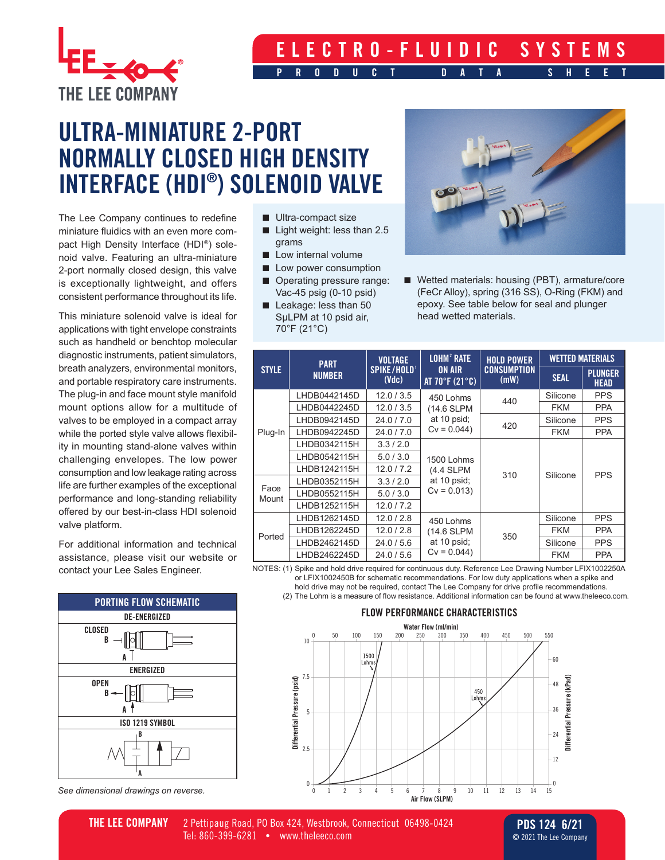

## **ELECTRO-FLUIDIC SYSTEMS PRODUCT DATA SHEET**

## **ULTRA-MINIATURE 2-PORT NORMALLY CLOSED HIGH DENSITY INTERFACE (HDI® ) SOLENOID VALVE**

The Lee Company continues to redefine miniature fluidics with an even more compact High Density Interface (HDI®) solenoid valve. Featuring an ultra-miniature 2-port normally closed design, this valve is exceptionally lightweight, and offers consistent performance throughout its life.

This miniature solenoid valve is ideal for applications with tight envelope constraints such as handheld or benchtop molecular diagnostic instruments, patient simulators, breath analyzers, environmental monitors, and portable respiratory care instruments. The plug-in and face mount style manifold mount options allow for a multitude of valves to be employed in a compact array while the ported style valve allows flexibility in mounting stand-alone valves within challenging envelopes. The low power consumption and low leakage rating across life are further examples of the exceptional performance and long-standing reliability offered by our best-in-class HDI solenoid valve platform.

For additional information and technical assistance, please visit our website or contact your Lee Sales Engineer.



*See dimensional drawings on reverse.*

- Ultra-compact size
- Light weight: less than 2.5 grams
- Low internal volume
- Low power consumption
- Operating pressure range: Vac-45 psig (0-10 psid)
- Leakage: less than 50 SµLPM at 10 psid air, 70°F (21°C)



■ Wetted materials: housing (PBT), armature/core (FeCr Alloy), spring (316 SS), O-Ring (FKM) and epoxy. See table below for seal and plunger head wetted materials.

| <b>STYLE</b>  | <b>PART</b><br><b>NUMBER</b> | <b>VOLTAGE</b><br>SPIKE/HOLD <sup>1</sup><br>(Vdc) | <b>LOHM<sup>2</sup> RATE</b><br><b>ON AIR</b><br>AT $70^{\circ}$ F (21 $^{\circ}$ C) | <b>HOLD POWER</b><br><b>CONSUMPTION</b><br>(mW) | <b>WETTED MATERIALS</b> |                               |
|---------------|------------------------------|----------------------------------------------------|--------------------------------------------------------------------------------------|-------------------------------------------------|-------------------------|-------------------------------|
|               |                              |                                                    |                                                                                      |                                                 | <b>SEAL</b>             | <b>PLUNGER</b><br><b>HEAD</b> |
| Plug-In       | LHDB0442145D                 | 12.0/3.5                                           | 450 Lohms<br>(14.6 SLPM<br>at 10 psid;<br>$Cv = 0.044$                               | 440                                             | Silicone                | <b>PPS</b>                    |
|               | LHDB0442245D                 | 12.0/3.5                                           |                                                                                      |                                                 | <b>FKM</b>              | <b>PPA</b>                    |
|               | LHDB0942145D                 | 24.0/7.0                                           |                                                                                      | 420                                             | Silicone                | <b>PPS</b>                    |
|               | LHDB0942245D                 | 24.0 / 7.0                                         |                                                                                      |                                                 | <b>FKM</b>              | <b>PPA</b>                    |
|               | LHDB0342115H                 | 3.3/2.0                                            | 1500 Lohms<br>(4.4 SLPM<br>at 10 psid;<br>$Cv = 0.013$                               | 310                                             | Silicone                | <b>PPS</b>                    |
|               | LHDB0542115H                 | 5.0/3.0                                            |                                                                                      |                                                 |                         |                               |
|               | LHDB1242115H                 | 12.0 / 7.2                                         |                                                                                      |                                                 |                         |                               |
| Face<br>Mount | LHDB0352115H                 | 3.3/2.0                                            |                                                                                      |                                                 |                         |                               |
|               | LHDB0552115H                 | 5.0/3.0                                            |                                                                                      |                                                 |                         |                               |
|               | LHDB1252115H                 | 12.0 / 7.2                                         |                                                                                      |                                                 |                         |                               |
| Ported        | LHDB1262145D                 | 12.0 / 2.8                                         | 450 Lohms<br>(14.6 SLPM<br>at 10 psid;<br>$Cv = 0.044$                               | 350                                             | Silicone                | <b>PPS</b>                    |
|               | LHDB1262245D                 | 12.0 / 2.8                                         |                                                                                      |                                                 | <b>FKM</b>              | <b>PPA</b>                    |
|               | LHDB2462145D                 | 24.0 / 5.6                                         |                                                                                      |                                                 | Silicone                | <b>PPS</b>                    |
|               | LHDB2462245D                 | 24.0 / 5.6                                         |                                                                                      |                                                 | <b>FKM</b>              | <b>PPA</b>                    |

NOTES: (1) Spike and hold drive required for continuous duty. Reference Lee Drawing Number LFIX1002250A or LFIX1002450B for schematic recommendations. For low duty applications when a spike and hold drive may not be required, contact The Lee Company for drive profile recommendations.

(2) The Lohm is a measure of flow resistance. Additional information can be found at www.theleeco.com.

## **FLOW PERFORMANCE CHARACTERISTICS**



**THE LEE COMPANY** 2 Pettipaug Road, PO Box 424, Westbrook, Connecticut 06498-0424 Tel: 860-399-6281 • www.theleeco.com